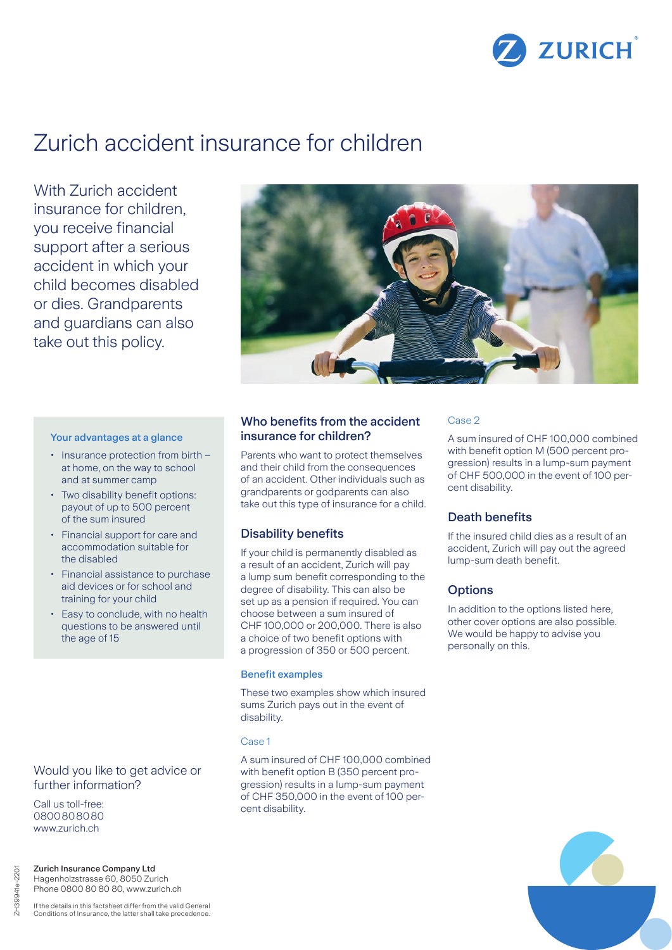

# Zurich accident insurance for children

With Zurich accident insurance for children, you receive financial support after a serious accident in which your child becomes disabled or dies. Grandparents and guardians can also take out this policy.



#### Your advantages at a glance

- Insurance protection from birth at home, on the way to school and at summer camp
- Two disability benefit options: payout of up to 500 percent of the sum insured
- Financial support for care and accommodation suitable for the disabled
- Financial assistance to purchase aid devices or for school and training for your child
- Easy to conclude, with no health questions to be answered until the age of 15

# Would you like to get advice or further information?

Call us toll-free: 0800808080 www.zurich.ch

Zurich Insurance Company Ltd Hagenholzstrasse 60, 8050 Zurich Phone 0800 80 80 80, www.zurich.ch

If the details in this factsheet differ from the valid General Conditions of Insurance, the latter shall take precedence.

# Who benefits from the accident insurance for children?

Parents who want to protect themselves and their child from the consequences of an accident. Other individuals such as grandparents or godparents can also take out this type of insurance for a child.

## Disability benefits

If your child is permanently disabled as a result of an accident, Zurich will pay a lump sum benefit corresponding to the degree of disability. This can also be set up as a pension if required. You can choose between a sum insured of CHF 100,000 or 200,000. There is also a choice of two benefit options with a progression of 350 or 500 percent.

#### Benefit examples

These two examples show which insured sums Zurich pays out in the event of disability.

#### Case 1

A sum insured of CHF 100,000 combined with benefit option B (350 percent progression) results in a lump-sum payment of CHF 350,000 in the event of 100 percent disability.

#### Case 2

A sum insured of CHF 100,000 combined with benefit option M (500 percent progression) results in a lump-sum payment of CHF 500,000 in the event of 100 percent disability.

# Death benefits

If the insured child dies as a result of an accident, Zurich will pay out the agreed lump-sum death benefit.

### **Options**

In addition to the options listed here, other cover options are also possible. We would be happy to advise you personally on this.

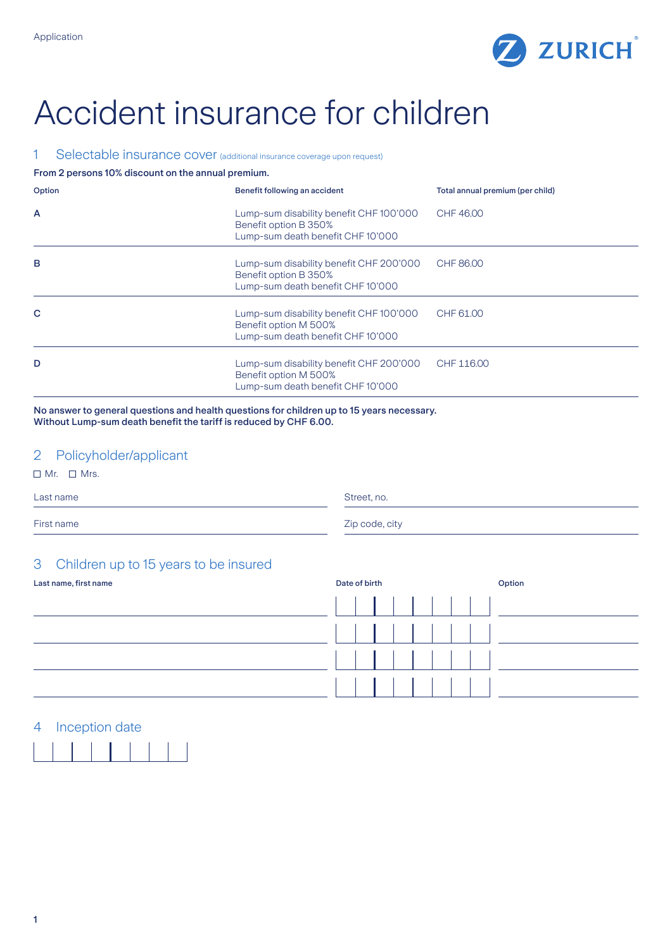

# Accident insurance for children

# 1 Selectable insurance cover (additional insurance coverage upon request)

#### From 2 persons 10% discount on the annual premium.

| Option         | Benefit following an accident                                                                         | Total annual premium (per child) |
|----------------|-------------------------------------------------------------------------------------------------------|----------------------------------|
| $\overline{A}$ | Lump-sum disability benefit CHF 100'000<br>Benefit option B 350%<br>Lump-sum death benefit CHF10'000  | CHF 46.00                        |
| B              | Lump-sum disability benefit CHF 200'000<br>Benefit option B 350%<br>Lump-sum death benefit CHF 10'000 | CHF 86.00                        |
| C              | Lump-sum disability benefit CHF 100'000<br>Benefit option M 500%<br>Lump-sum death benefit CHF 10'000 | CHF 61.00                        |
| D              | Lump-sum disability benefit CHF 200'000<br>Benefit option M 500%<br>Lump-sum death benefit CHF 10'000 | CHF 116.00                       |

No answer to general questions and health questions for children up to 15 years necessary. Without Lump-sum death benefit the tariff is reduced by CHF 6.00.

# 2 Policyholder/applicant

 $\Box$  Mr.  $\Box$  Mrs.

Last name Street, no.

First name Zip code, city

# 3 Children up to 15 years to be insured

| Last name, first name | Date of birth<br>Option |
|-----------------------|-------------------------|
|                       |                         |
|                       |                         |
|                       |                         |
|                       |                         |

# 4 Inception date